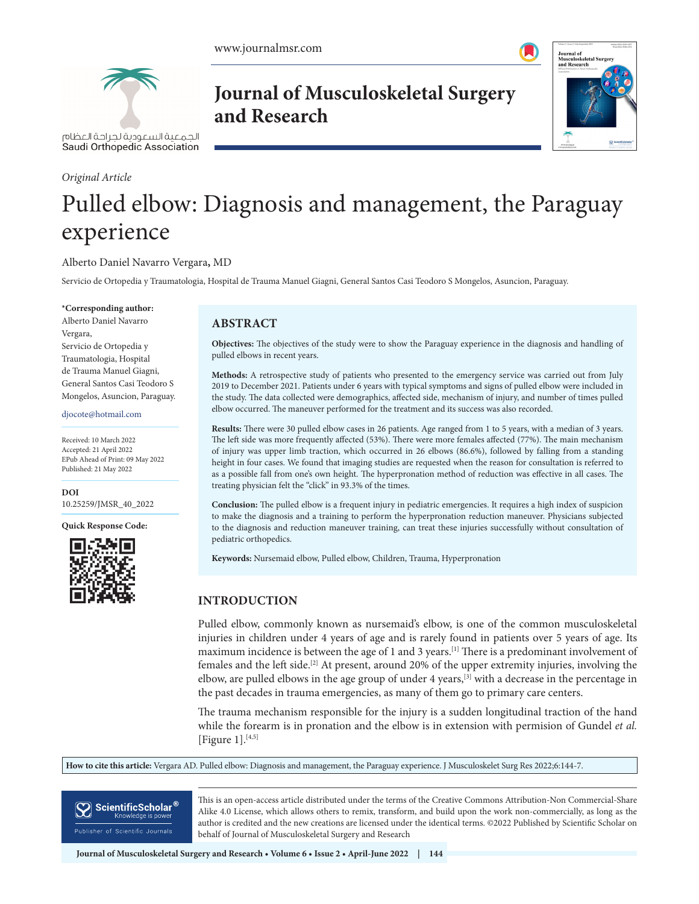

الحمعية السعودية لحراحة العظام Saudi Orthopedic Association

#### *Original Article*

**Journal of Musculoskeletal Surgery and Research**



# Pulled elbow: Diagnosis and management, the Paraguay experience

#### Alberto Daniel Navarro Vergara**,** MD

Servicio de Ortopedia y Traumatologia, Hospital de Trauma Manuel Giagni, General Santos Casi Teodoro S Mongelos, Asuncion, Paraguay.

#### **\*Corresponding author:**

Alberto Daniel Navarro Vergara, Servicio de Ortopedia y Traumatologia, Hospital de Trauma Manuel Giagni, General Santos Casi Teodoro S Mongelos, Asuncion, Paraguay.

#### djocote@hotmail.com

Received: 10 March 2022 Accepted: 21 April 2022 EPub Ahead of Print: 09 May 2022 Published: 21 May 2022

**DOI** [10.25259/JMSR\\_40\\_2022](https://dx.doi.org/10.25259/JMSR_40_2022)

**Quick Response Code:**



## **ABSTRACT**

**Objectives:** The objectives of the study were to show the Paraguay experience in the diagnosis and handling of pulled elbows in recent years.

**Methods:** A retrospective study of patients who presented to the emergency service was carried out from July 2019 to December 2021. Patients under 6 years with typical symptoms and signs of pulled elbow were included in the study. The data collected were demographics, affected side, mechanism of injury, and number of times pulled elbow occurred. The maneuver performed for the treatment and its success was also recorded.

**Results:** There were 30 pulled elbow cases in 26 patients. Age ranged from 1 to 5 years, with a median of 3 years. The left side was more frequently affected (53%). There were more females affected (77%). The main mechanism of injury was upper limb traction, which occurred in 26 elbows (86.6%), followed by falling from a standing height in four cases. We found that imaging studies are requested when the reason for consultation is referred to as a possible fall from one's own height. The hyperpronation method of reduction was effective in all cases. The treating physician felt the "click" in 93.3% of the times.

**Conclusion:** The pulled elbow is a frequent injury in pediatric emergencies. It requires a high index of suspicion to make the diagnosis and a training to perform the hyperpronation reduction maneuver. Physicians subjected to the diagnosis and reduction maneuver training, can treat these injuries successfully without consultation of pediatric orthopedics.

**Keywords:** Nursemaid elbow, Pulled elbow, Children, Trauma, Hyperpronation

# **INTRODUCTION**

Pulled elbow, commonly known as nursemaid's elbow, is one of the common musculoskeletal injuries in children under 4 years of age and is rarely found in patients over 5 years of age. Its maximum incidence is between the age of 1 and 3 years.<sup>[1]</sup> There is a predominant involvement of females and the left side.<sup>[2]</sup> At present, around 20% of the upper extremity injuries, involving the elbow, are pulled elbows in the age group of under 4 years,[3] with a decrease in the percentage in the past decades in trauma emergencies, as many of them go to primary care centers.

The trauma mechanism responsible for the injury is a sudden longitudinal traction of the hand while the forearm is in pronation and the elbow is in extension with permision of Gundel *et al.*  [Figure 1]. $[4,5]$ 

**How to cite this article:** Vergara AD. Pulled elbow: Diagnosis and management, the Paraguay experience. J Musculoskelet Surg Res 2022;6:144-7.

ScientificScholar<sup>®</sup> Knowledge is powe

This is an open-access article distributed under the terms of the Creative Commons Attribution-Non Commercial-Share Alike 4.0 License, which allows others to remix, transform, and build upon the work non-commercially, as long as the author is credited and the new creations are licensed under the identical terms. ©2022 Published by Scientific Scholar on behalf of Journal of Musculoskeletal Surgery and Research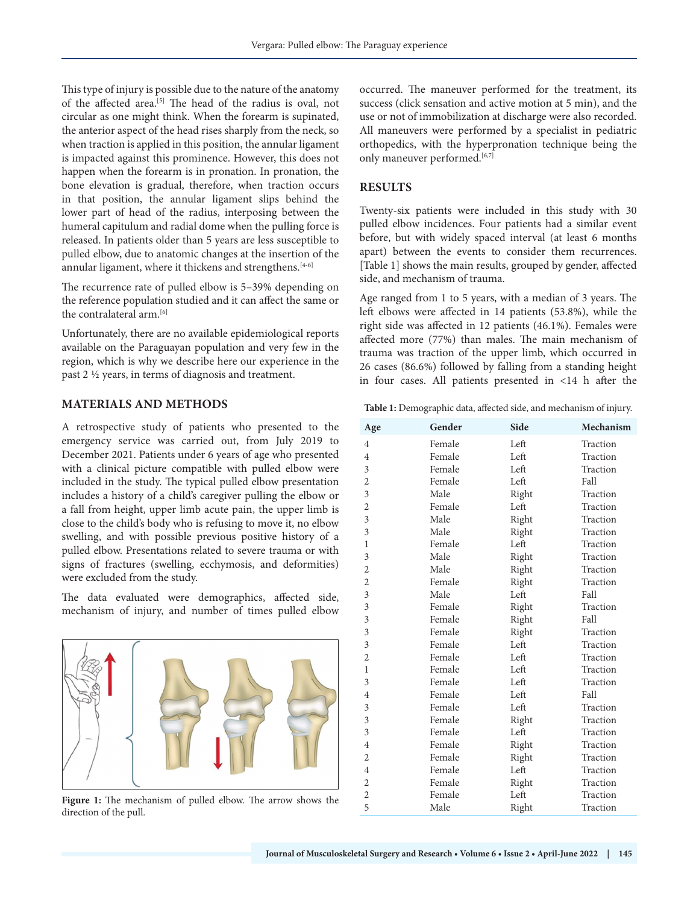This type of injury is possible due to the nature of the anatomy of the affected area.<sup>[5]</sup> The head of the radius is oval, not circular as one might think. When the forearm is supinated, the anterior aspect of the head rises sharply from the neck, so when traction is applied in this position, the annular ligament is impacted against this prominence. However, this does not happen when the forearm is in pronation. In pronation, the bone elevation is gradual, therefore, when traction occurs in that position, the annular ligament slips behind the lower part of head of the radius, interposing between the humeral capitulum and radial dome when the pulling force is released. In patients older than 5 years are less susceptible to pulled elbow, due to anatomic changes at the insertion of the annular ligament, where it thickens and strengthens.<sup>[4-6]</sup>

The recurrence rate of pulled elbow is 5–39% depending on the reference population studied and it can affect the same or the contralateral arm.[6]

Unfortunately, there are no available epidemiological reports available on the Paraguayan population and very few in the region, which is why we describe here our experience in the past 2 ½ years, in terms of diagnosis and treatment.

## **MATERIALS AND METHODS**

A retrospective study of patients who presented to the emergency service was carried out, from July 2019 to December 2021. Patients under 6 years of age who presented with a clinical picture compatible with pulled elbow were included in the study. The typical pulled elbow presentation includes a history of a child's caregiver pulling the elbow or a fall from height, upper limb acute pain, the upper limb is close to the child's body who is refusing to move it, no elbow swelling, and with possible previous positive history of a pulled elbow. Presentations related to severe trauma or with signs of fractures (swelling, ecchymosis, and deformities) were excluded from the study.

The data evaluated were demographics, affected side, mechanism of injury, and number of times pulled elbow



**Figure 1:** The mechanism of pulled elbow. The arrow shows the direction of the pull.

occurred. The maneuver performed for the treatment, its success (click sensation and active motion at 5 min), and the use or not of immobilization at discharge were also recorded. All maneuvers were performed by a specialist in pediatric orthopedics, with the hyperpronation technique being the only maneuver performed.<sup>[6,7]</sup>

## **RESULTS**

Twenty-six patients were included in this study with 30 pulled elbow incidences. Four patients had a similar event before, but with widely spaced interval (at least 6 months apart) between the events to consider them recurrences. [Table 1] shows the main results, grouped by gender, affected side, and mechanism of trauma.

Age ranged from 1 to 5 years, with a median of 3 years. The left elbows were affected in 14 patients (53.8%), while the right side was affected in 12 patients (46.1%). Females were affected more (77%) than males. The main mechanism of trauma was traction of the upper limb, which occurred in 26 cases (86.6%) followed by falling from a standing height in four cases. All patients presented in <14 h after the

**Table 1:** Demographic data, affected side, and mechanism of injury.

| Age            | Gender | Side  | Mechanism |
|----------------|--------|-------|-----------|
| $\overline{4}$ | Female | Left  | Traction  |
| $\overline{4}$ | Female | Left  | Traction  |
| 3              | Female | Left  | Traction  |
| $\overline{2}$ | Female | Left  | Fall      |
| 3              | Male   | Right | Traction  |
| $\overline{2}$ | Female | Left  | Traction  |
| 3              | Male   | Right | Traction  |
| 3              | Male   | Right | Traction  |
| 1              | Female | Left  | Traction  |
| 3              | Male   | Right | Traction  |
| $\overline{2}$ | Male   | Right | Traction  |
| $\overline{2}$ | Female | Right | Traction  |
| 3              | Male   | Left  | Fall      |
| 3              | Female | Right | Traction  |
| 3              | Female | Right | Fall      |
| 3              | Female | Right | Traction  |
| 3              | Female | Left  | Traction  |
| $\overline{2}$ | Female | Left  | Traction  |
| 1              | Female | Left  | Traction  |
| 3              | Female | Left  | Traction  |
| $\overline{4}$ | Female | Left  | Fall      |
| 3              | Female | Left  | Traction  |
| 3              | Female | Right | Traction  |
| 3              | Female | Left  | Traction  |
| $\overline{4}$ | Female | Right | Traction  |
| $\overline{2}$ | Female | Right | Traction  |
| $\overline{4}$ | Female | Left  | Traction  |
| $\overline{2}$ | Female | Right | Traction  |
| $\overline{2}$ | Female | Left  | Traction  |
| 5              | Male   | Right | Traction  |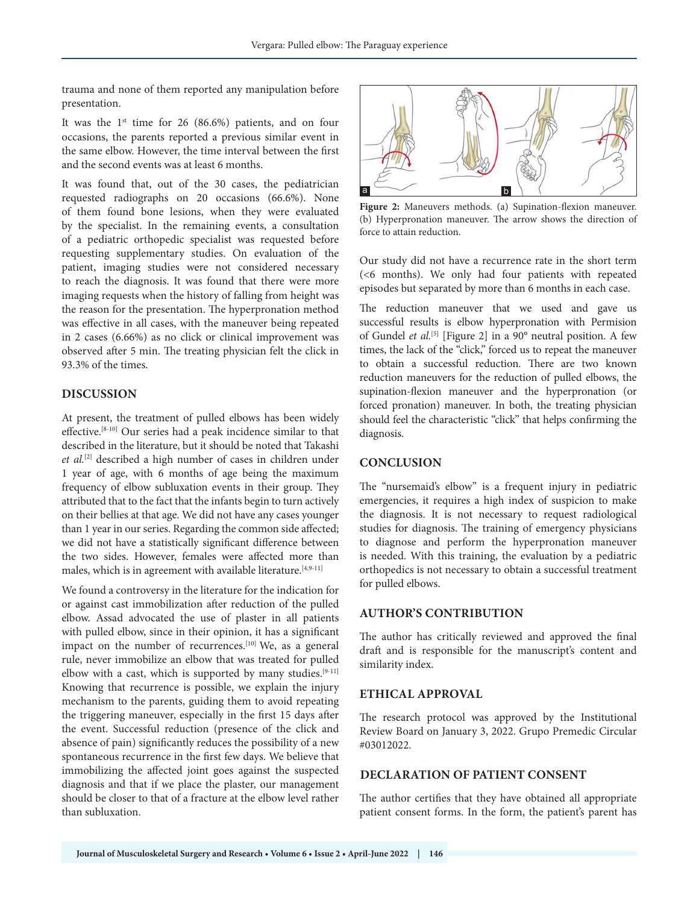trauma and none of them reported any manipulation before presentation.

It was the  $1<sup>st</sup>$  time for 26 (86.6%) patients, and on four occasions, the parents reported a previous similar event in the same elbow. However, the time interval between the first and the second events was at least 6 months.

It was found that, out of the 30 cases, the pediatrician requested radiographs on 20 occasions (66.6%). None of them found bone lesions, when they were evaluated by the specialist. In the remaining events, a consultation of a pediatric orthopedic specialist was requested before requesting supplementary studies. On evaluation of the patient, imaging studies were not considered necessary to reach the diagnosis. It was found that there were more imaging requests when the history of falling from height was the reason for the presentation. The hyperpronation method was effective in all cases, with the maneuver being repeated in 2 cases (6.66%) as no click or clinical improvement was observed after 5 min. The treating physician felt the click in 93.3% of the times.

#### **DISCUSSION**

At present, the treatment of pulled elbows has been widely effective.[8-10] Our series had a peak incidence similar to that described in the literature, but it should be noted that Takashi *et al.*[2] described a high number of cases in children under 1 year of age, with 6 months of age being the maximum frequency of elbow subluxation events in their group. They attributed that to the fact that the infants begin to turn actively on their bellies at that age. We did not have any cases younger than 1 year in our series. Regarding the common side affected; we did not have a statistically significant difference between the two sides. However, females were affected more than males, which is in agreement with available literature.[4,9-11]

We found a controversy in the literature for the indication for or against cast immobilization after reduction of the pulled elbow. Assad advocated the use of plaster in all patients with pulled elbow, since in their opinion, it has a significant impact on the number of recurrences.<sup>[10]</sup> We, as a general rule, never immobilize an elbow that was treated for pulled elbow with a cast, which is supported by many studies.<sup>[9-11]</sup> Knowing that recurrence is possible, we explain the injury mechanism to the parents, guiding them to avoid repeating the triggering maneuver, especially in the first 15 days after the event. Successful reduction (presence of the click and absence of pain) significantly reduces the possibility of a new spontaneous recurrence in the first few days. We believe that immobilizing the affected joint goes against the suspected diagnosis and that if we place the plaster, our management should be closer to that of a fracture at the elbow level rather than subluxation.



**Figure 2:** Maneuvers methods. (a) Supination-flexion maneuver. (b) Hyperpronation maneuver. The arrow shows the direction of force to attain reduction.

Our study did not have a recurrence rate in the short term (<6 months). We only had four patients with repeated episodes but separated by more than 6 months in each case.

The reduction maneuver that we used and gave us successful results is elbow hyperpronation with Permision of Gundel et al.<sup>[5]</sup> [Figure 2] in a 90° neutral position. A few times, the lack of the "click," forced us to repeat the maneuver to obtain a successful reduction. There are two known reduction maneuvers for the reduction of pulled elbows, the supination-flexion maneuver and the hyperpronation (or forced pronation) maneuver. In both, the treating physician should feel the characteristic "click" that helps confirming the diagnosis.

#### **CONCLUSION**

The "nursemaid's elbow" is a frequent injury in pediatric emergencies, it requires a high index of suspicion to make the diagnosis. It is not necessary to request radiological studies for diagnosis. The training of emergency physicians to diagnose and perform the hyperpronation maneuver is needed. With this training, the evaluation by a pediatric orthopedics is not necessary to obtain a successful treatment for pulled elbows.

#### **AUTHOR'S CONTRIBUTION**

The author has critically reviewed and approved the final draft and is responsible for the manuscript's content and similarity index.

#### **ETHICAL APPROVAL**

The research protocol was approved by the Institutional Review Board on January 3, 2022. Grupo Premedic Circular #03012022.

#### **DECLARATION OF PATIENT CONSENT**

The author certifies that they have obtained all appropriate patient consent forms. In the form, the patient's parent has